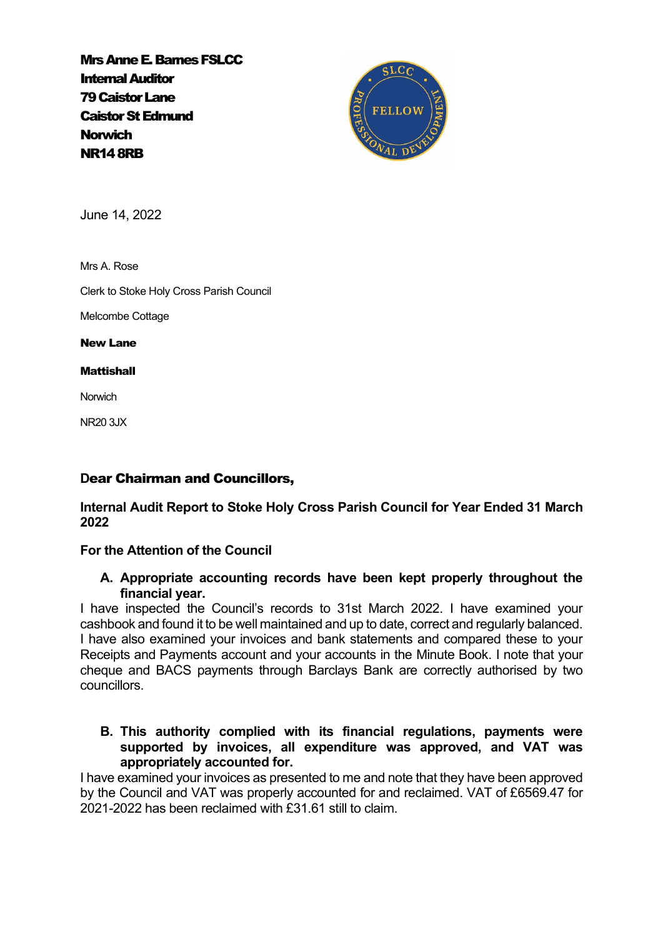Mrs Anne E. Barnes FSLCC Internal Auditor 79 Caistor Lane Caistor St Edmund **Norwich** NR14 8RB



June 14, 2022

Mrs A. Rose

Clerk to Stoke Holy Cross Parish Council

Melcombe Cottage

New Lane

**Mattishall** 

**Norwich** 

NR20 3JX

# **D**ear Chairman and Councillors,

**Internal Audit Report to Stoke Holy Cross Parish Council for Year Ended 31 March 2022**

# **For the Attention of the Council**

# **A. Appropriate accounting records have been kept properly throughout the financial year.**

I have inspected the Council's records to 31st March 2022. I have examined your cashbook and found it to be well maintained and up to date, correct and regularly balanced. I have also examined your invoices and bank statements and compared these to your Receipts and Payments account and your accounts in the Minute Book. I note that your cheque and BACS payments through Barclays Bank are correctly authorised by two councillors.

# **B. This authority complied with its financial regulations, payments were supported by invoices, all expenditure was approved, and VAT was appropriately accounted for.**

I have examined your invoices as presented to me and note that they have been approved by the Council and VAT was properly accounted for and reclaimed. VAT of £6569.47 for 2021-2022 has been reclaimed with £31.61 still to claim.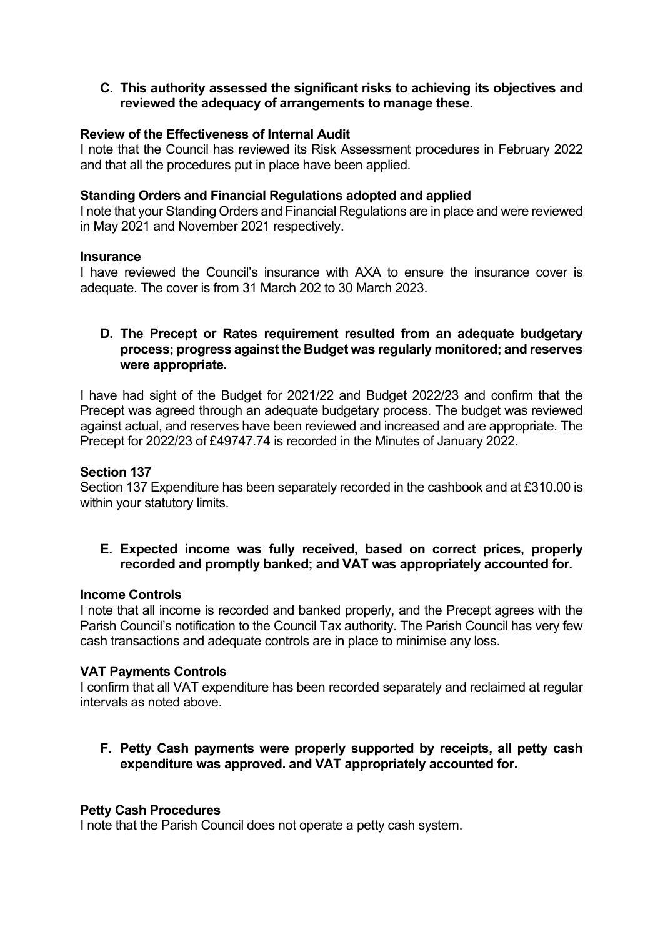# **C. This authority assessed the significant risks to achieving its objectives and reviewed the adequacy of arrangements to manage these.**

## **Review of the Effectiveness of Internal Audit**

I note that the Council has reviewed its Risk Assessment procedures in February 2022 and that all the procedures put in place have been applied.

#### **Standing Orders and Financial Regulations adopted and applied**

I note that your Standing Orders and Financial Regulations are in place and were reviewed in May 2021 and November 2021 respectively.

#### **Insurance**

I have reviewed the Council's insurance with AXA to ensure the insurance cover is adequate. The cover is from 31 March 202 to 30 March 2023.

## **D. The Precept or Rates requirement resulted from an adequate budgetary process; progress against the Budget was regularly monitored; and reserves were appropriate.**

I have had sight of the Budget for 2021/22 and Budget 2022/23 and confirm that the Precept was agreed through an adequate budgetary process. The budget was reviewed against actual, and reserves have been reviewed and increased and are appropriate. The Precept for 2022/23 of £49747.74 is recorded in the Minutes of January 2022.

#### **Section 137**

Section 137 Expenditure has been separately recorded in the cashbook and at £310.00 is within your statutory limits.

**E. Expected income was fully received, based on correct prices, properly recorded and promptly banked; and VAT was appropriately accounted for.**

#### **Income Controls**

I note that all income is recorded and banked properly, and the Precept agrees with the Parish Council's notification to the Council Tax authority. The Parish Council has very few cash transactions and adequate controls are in place to minimise any loss.

#### **VAT Payments Controls**

I confirm that all VAT expenditure has been recorded separately and reclaimed at regular intervals as noted above.

**F. Petty Cash payments were properly supported by receipts, all petty cash expenditure was approved. and VAT appropriately accounted for.**

#### **Petty Cash Procedures**

I note that the Parish Council does not operate a petty cash system.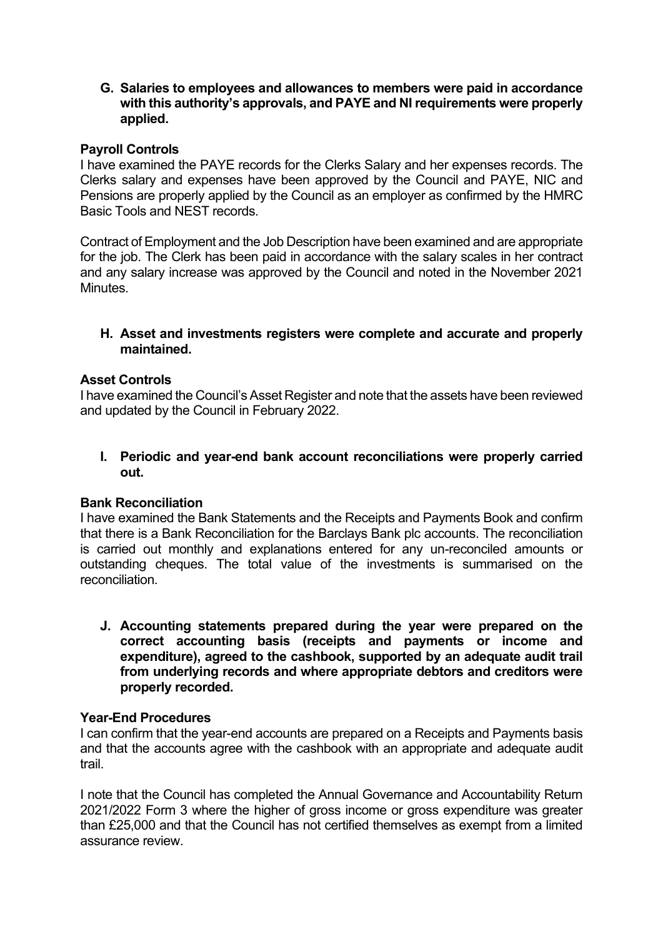**G. Salaries to employees and allowances to members were paid in accordance with this authority's approvals, and PAYE and NI requirements were properly applied.**

# **Payroll Controls**

I have examined the PAYE records for the Clerks Salary and her expenses records. The Clerks salary and expenses have been approved by the Council and PAYE, NIC and Pensions are properly applied by the Council as an employer as confirmed by the HMRC Basic Tools and NEST records.

Contract of Employment and the Job Description have been examined and are appropriate for the job. The Clerk has been paid in accordance with the salary scales in her contract and any salary increase was approved by the Council and noted in the November 2021 Minutes.

## **H. Asset and investments registers were complete and accurate and properly maintained.**

## **Asset Controls**

I have examined the Council's Asset Register and note that the assets have been reviewed and updated by the Council in February 2022.

**I. Periodic and year-end bank account reconciliations were properly carried out.**

# **Bank Reconciliation**

I have examined the Bank Statements and the Receipts and Payments Book and confirm that there is a Bank Reconciliation for the Barclays Bank plc accounts. The reconciliation is carried out monthly and explanations entered for any un-reconciled amounts or outstanding cheques. The total value of the investments is summarised on the reconciliation.

**J. Accounting statements prepared during the year were prepared on the correct accounting basis (receipts and payments or income and expenditure), agreed to the cashbook, supported by an adequate audit trail from underlying records and where appropriate debtors and creditors were properly recorded.**

#### **Year-End Procedures**

I can confirm that the year-end accounts are prepared on a Receipts and Payments basis and that the accounts agree with the cashbook with an appropriate and adequate audit trail.

I note that the Council has completed the Annual Governance and Accountability Return 2021/2022 Form 3 where the higher of gross income or gross expenditure was greater than £25,000 and that the Council has not certified themselves as exempt from a limited assurance review.